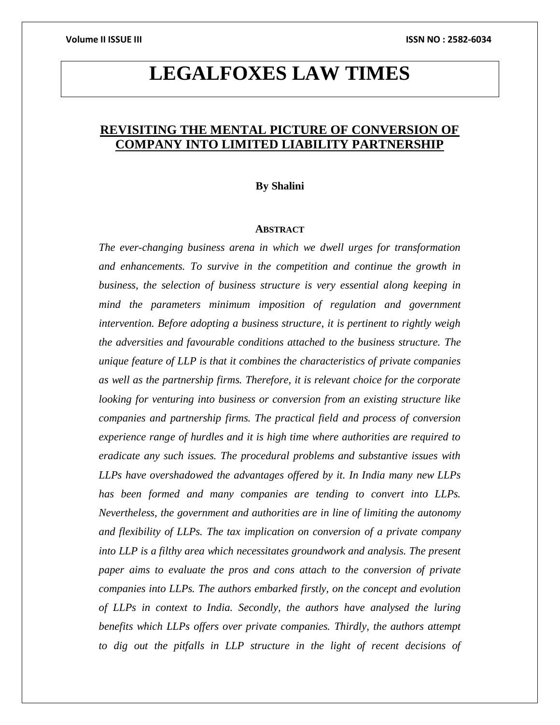# **LEGALFOXES LAW TIMES**

# **REVISITING THE MENTAL PICTURE OF CONVERSION OF COMPANY INTO LIMITED LIABILITY PARTNERSHIP**

# **By Shalini**

# **ABSTRACT**

*The ever-changing business arena in which we dwell urges for transformation and enhancements. To survive in the competition and continue the growth in business, the selection of business structure is very essential along keeping in mind the parameters minimum imposition of regulation and government intervention. Before adopting a business structure, it is pertinent to rightly weigh the adversities and favourable conditions attached to the business structure. The unique feature of LLP is that it combines the characteristics of private companies as well as the partnership firms. Therefore, it is relevant choice for the corporate looking for venturing into business or conversion from an existing structure like companies and partnership firms. The practical field and process of conversion experience range of hurdles and it is high time where authorities are required to eradicate any such issues. The procedural problems and substantive issues with LLPs have overshadowed the advantages offered by it. In India many new LLPs has been formed and many companies are tending to convert into LLPs. Nevertheless, the government and authorities are in line of limiting the autonomy and flexibility of LLPs. The tax implication on conversion of a private company into LLP is a filthy area which necessitates groundwork and analysis. The present paper aims to evaluate the pros and cons attach to the conversion of private companies into LLPs. The authors embarked firstly, on the concept and evolution of LLPs in context to India. Secondly, the authors have analysed the luring benefits which LLPs offers over private companies. Thirdly, the authors attempt to dig out the pitfalls in LLP structure in the light of recent decisions of*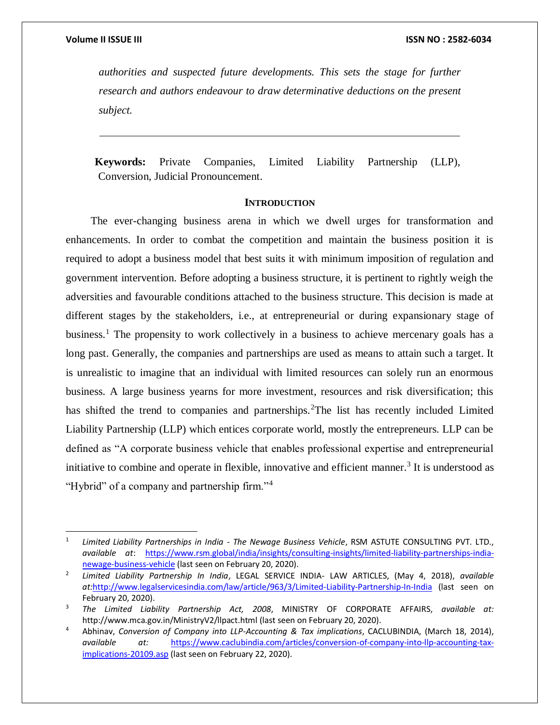$\overline{a}$ 

*authorities and suspected future developments. This sets the stage for further research and authors endeavour to draw determinative deductions on the present subject.*

 **Keywords:** Private Companies, Limited Liability Partnership (LLP), Conversion, Judicial Pronouncement.

# **INTRODUCTION**

The ever-changing business arena in which we dwell urges for transformation and enhancements. In order to combat the competition and maintain the business position it is required to adopt a business model that best suits it with minimum imposition of regulation and government intervention. Before adopting a business structure, it is pertinent to rightly weigh the adversities and favourable conditions attached to the business structure. This decision is made at different stages by the stakeholders, i.e., at entrepreneurial or during expansionary stage of business.<sup>1</sup> The propensity to work collectively in a business to achieve mercenary goals has a long past. Generally, the companies and partnerships are used as means to attain such a target. It is unrealistic to imagine that an individual with limited resources can solely run an enormous business. A large business yearns for more investment, resources and risk diversification; this has shifted the trend to companies and partnerships.<sup>2</sup>The list has recently included Limited Liability Partnership (LLP) which entices corporate world, mostly the entrepreneurs. LLP can be defined as "A corporate business vehicle that enables professional expertise and entrepreneurial initiative to combine and operate in flexible, innovative and efficient manner.<sup>3</sup> It is understood as "Hybrid" of a company and partnership firm."<sup>4</sup>

<sup>1</sup> *Limited Liability Partnerships in India - The Newage Business Vehicle*, RSM ASTUTE CONSULTING PVT. LTD., *available at*: [https://www.rsm.global/india/insights/consulting-insights/limited-liability-partnerships-india](https://www.rsm.global/india/insights/consulting-insights/limited-liability-partnerships-india-newage-business-vehicle)[newage-business-vehicle](https://www.rsm.global/india/insights/consulting-insights/limited-liability-partnerships-india-newage-business-vehicle) (last seen on February 20, 2020).

<sup>2</sup> *Limited Liability Partnership In India*, LEGAL SERVICE INDIA- LAW ARTICLES, (May 4, 2018), *available at:*<http://www.legalservicesindia.com/law/article/963/3/Limited-Liability-Partnership-In-India> (last seen on February 20, 2020).

<sup>3</sup> *The Limited Liability Partnership Act, 2008*, MINISTRY OF CORPORATE AFFAIRS, *available at:*  <http://www.mca.gov.in/MinistryV2/llpact.html> (last seen on February 20, 2020).

<sup>4</sup> Abhinav, *Conversion of Company into LLP-Accounting & Tax implications*, CACLUBINDIA, (March 18, 2014), *available at:* [https://www.caclubindia.com/articles/conversion-of-company-into-llp-accounting-tax](https://www.caclubindia.com/articles/conversion-of-company-into-llp-accounting-tax-implications-20109.asp)[implications-20109.asp](https://www.caclubindia.com/articles/conversion-of-company-into-llp-accounting-tax-implications-20109.asp) (last seen on February 22, 2020).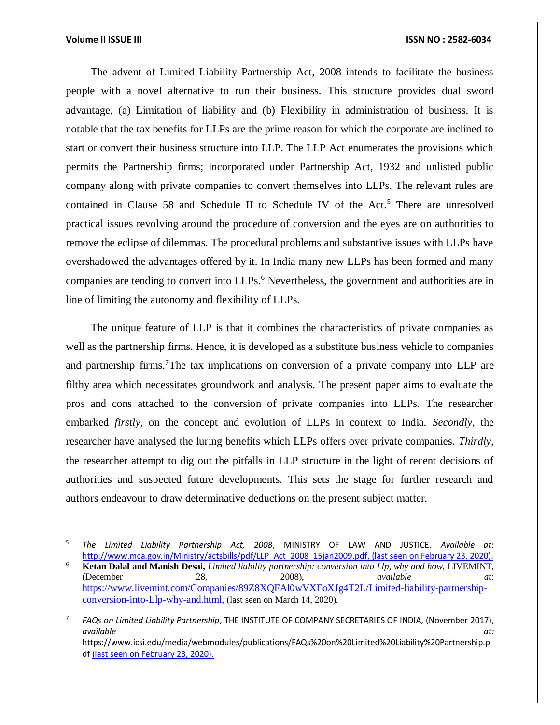$\overline{a}$ 

### **Volume II ISSUE III ISSN NO : 2582-6034**

The advent of Limited Liability Partnership Act, 2008 intends to facilitate the business people with a novel alternative to run their business. This structure provides dual sword advantage, (a) Limitation of liability and (b) Flexibility in administration of business. It is notable that the tax benefits for LLPs are the prime reason for which the corporate are inclined to start or convert their business structure into LLP. The LLP Act enumerates the provisions which permits the Partnership firms; incorporated under Partnership Act, 1932 and unlisted public company along with private companies to convert themselves into LLPs. The relevant rules are contained in Clause 58 and Schedule II to Schedule IV of the Act.<sup>5</sup> There are unresolved practical issues revolving around the procedure of conversion and the eyes are on authorities to remove the eclipse of dilemmas. The procedural problems and substantive issues with LLPs have overshadowed the advantages offered by it. In India many new LLPs has been formed and many companies are tending to convert into LLPs.<sup>6</sup> Nevertheless, the government and authorities are in line of limiting the autonomy and flexibility of LLPs.

The unique feature of LLP is that it combines the characteristics of private companies as well as the partnership firms. Hence, it is developed as a substitute business vehicle to companies and partnership firms.<sup>7</sup>The tax implications on conversion of a private company into LLP are filthy area which necessitates groundwork and analysis. The present paper aims to evaluate the pros and cons attached to the conversion of private companies into LLPs. The researcher embarked *firstly*, on the concept and evolution of LLPs in context to India. *Secondly*, the researcher have analysed the luring benefits which LLPs offers over private companies. *Thirdly*, the researcher attempt to dig out the pitfalls in LLP structure in the light of recent decisions of authorities and suspected future developments. This sets the stage for further research and authors endeavour to draw determinative deductions on the present subject matter.

7 *FAQs on Limited Liability Partnership*, THE INSTITUTE OF COMPANY SECRETARIES OF INDIA, (November 2017), *available at:* https://www.icsi.edu/media/webmodules/publications/FAQs%20on%20Limited%20Liability%20Partnership.p df (last seen on February 23, 2020).

<sup>5</sup> *The Limited Liability Partnership Act, 2008*, MINISTRY OF LAW AND JUSTICE. *Available at*: [http://www.mca.gov.in/Ministry/actsbills/pdf/LLP\\_Act\\_2008\\_15jan2009.pdf,](http://www.mca.gov.in/Ministry/actsbills/pdf/LLP_Act_2008_15jan2009.pdf) (last seen on February 23, 2020).

<sup>6</sup> **[Ketan Dalal and Manish Desai,](https://www.livemint.com/Search/Link/Author/%20Ground%20Rules%20%7C%20Ketan%20Dalal%20and%20Manish%20Desai)** *Limited liability partnership: conversion into Llp, why and how*, LIVEMINT, (December 28, 2008), *available at*: [https://www.livemint.com/Companies/89Z8XQFAl0wVXFoXJg4T2L/Limited-liability-partnership](https://www.livemint.com/Companies/89Z8XQFAl0wVXFoXJg4T2L/Limited-liability-partnership-conversion-into-Llp-why-and.html)[conversion-into-Llp-why-and.html](https://www.livemint.com/Companies/89Z8XQFAl0wVXFoXJg4T2L/Limited-liability-partnership-conversion-into-Llp-why-and.html), (last seen on March 14, 2020).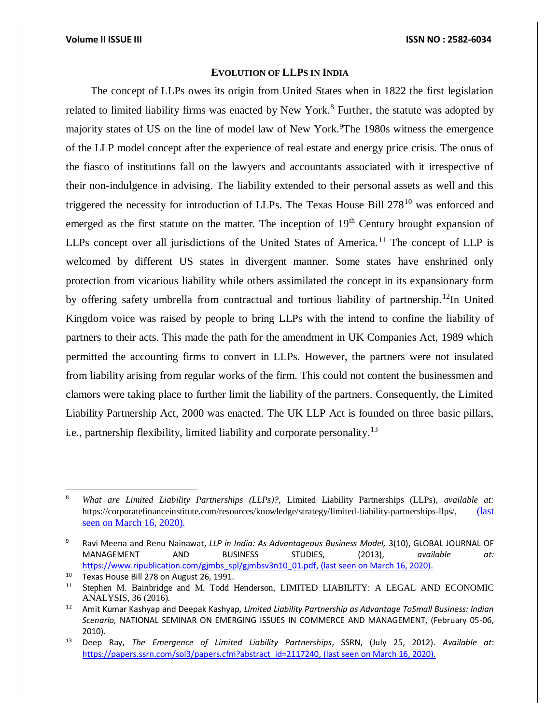# **EVOLUTION OF LLPS IN INDIA**

The concept of LLPs owes its origin from United States when in 1822 the first legislation related to limited liability firms was enacted by New York.<sup>8</sup> Further, the statute was adopted by majority states of US on the line of model law of New York.<sup>9</sup>The 1980s witness the emergence of the LLP model concept after the experience of real estate and energy price crisis. The onus of the fiasco of institutions fall on the lawyers and accountants associated with it irrespective of their non-indulgence in advising. The liability extended to their personal assets as well and this triggered the necessity for introduction of LLPs. The Texas House Bill  $278^{10}$  was enforced and emerged as the first statute on the matter. The inception of  $19<sup>th</sup>$  Century brought expansion of LLPs concept over all jurisdictions of the United States of America.<sup>11</sup> The concept of LLP is welcomed by different US states in divergent manner. Some states have enshrined only protection from vicarious liability while others assimilated the concept in its expansionary form by offering safety umbrella from contractual and tortious liability of partnership.<sup>12</sup>In United Kingdom voice was raised by people to bring LLPs with the intend to confine the liability of partners to their acts. This made the path for the amendment in UK Companies Act, 1989 which permitted the accounting firms to convert in LLPs. However, the partners were not insulated from liability arising from regular works of the firm. This could not content the businessmen and clamors were taking place to further limit the liability of the partners. Consequently, the Limited Liability Partnership Act, 2000 was enacted. The UK LLP Act is founded on three basic pillars, i.e., partnership flexibility, limited liability and corporate personality.<sup>13</sup>

 $\overline{\phantom{a}}$ 

<sup>8</sup> *What are Limited Liability Partnerships (LLPs)?,* Limited Liability Partnerships (LLPs)*, available at:*  https://corporatefinanceinstitute.com/resources/knowledge/strategy/limited-liability-partnerships-llps/, (last seen on March 16, 2020).

<sup>9</sup> Ravi Meena and Renu Nainawat, *LLP in India: As Advantageous Business Model,* 3(10), GLOBAL JOURNAL OF MANAGEMENT AND BUSINESS STUDIES, (2013), *available at:*  https://www.ripublication.com/gimbs\_spl/gimbsv3n10\_01.pdf, (last seen on March 16, 2020).

<sup>&</sup>lt;sup>10</sup> Texas House Bill 278 on August 26, 1991.<br><sup>11</sup> Stephen M. Bainbridge and M. Todd **I** 

<sup>11</sup> Stephen M. Bainbridge and M. Todd Henderson, LIMITED LIABILITY: A LEGAL AND ECONOMIC ANALYSIS, 36 (2016).

<sup>12</sup> Amit Kumar Kashyap and Deepak Kashyap*, Limited Liability Partnership as Advantage ToSmall Business: Indian Scenario,* NATIONAL SEMINAR ON EMERGING ISSUES IN COMMERCE AND MANAGEMENT, (February 05-06, 2010).

<sup>13</sup> Deep Ray, *The Emergence of Limited Liability Partnerships*, SSRN, (July 25, 2012). *Available at*: [https://papers.ssrn.com/sol3/papers.cfm?abstract\\_id=2117240,](https://papers.ssrn.com/sol3/papers.cfm?abstract_id=2117240) (last seen on March 16, 2020).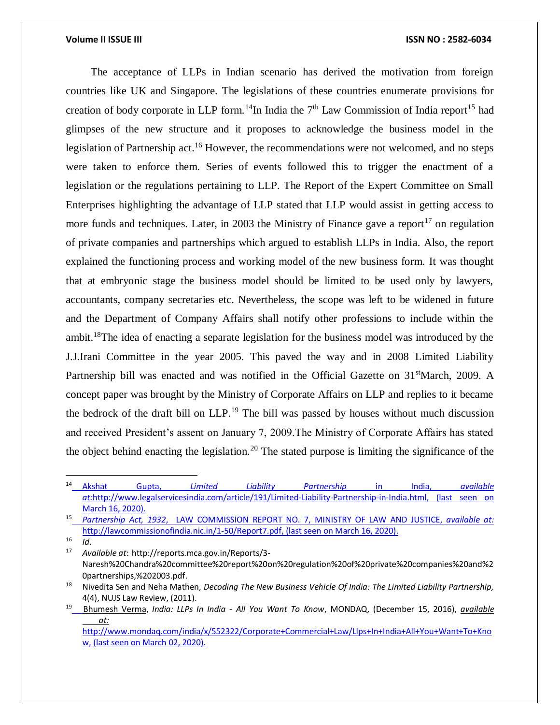# **Volume II ISSUE III III ISSUE III ISSN NO** : **2582-6034**

The acceptance of LLPs in Indian scenario has derived the motivation from foreign countries like UK and Singapore. The legislations of these countries enumerate provisions for creation of body corporate in LLP form.<sup>14</sup>In India the  $7<sup>th</sup>$  Law Commission of India report<sup>15</sup> had glimpses of the new structure and it proposes to acknowledge the business model in the legislation of Partnership act.<sup>16</sup> However, the recommendations were not welcomed, and no steps were taken to enforce them. Series of events followed this to trigger the enactment of a legislation or the regulations pertaining to LLP. The Report of the Expert Committee on Small Enterprises highlighting the advantage of LLP stated that LLP would assist in getting access to more funds and techniques. Later, in 2003 the Ministry of Finance gave a report<sup>17</sup> on regulation of private companies and partnerships which argued to establish LLPs in India. Also, the report explained the functioning process and working model of the new business form. It was thought that at embryonic stage the business model should be limited to be used only by lawyers, accountants, company secretaries etc. Nevertheless, the scope was left to be widened in future and the Department of Company Affairs shall notify other professions to include within the ambit.<sup>18</sup>The idea of enacting a separate legislation for the business model was introduced by the J.J.Irani Committee in the year 2005. This paved the way and in 2008 Limited Liability Partnership bill was enacted and was notified in the Official Gazette on  $31<sup>st</sup>March, 2009$ . A concept paper was brought by the Ministry of Corporate Affairs on LLP and replies to it became the bedrock of the draft bill on  $LLP<sup>19</sup>$ . The bill was passed by houses without much discussion and received President's assent on January 7, 2009.The Ministry of Corporate Affairs has stated the object behind enacting the legislation.<sup>20</sup> The stated purpose is limiting the significance of the

 $\overline{a}$ 

<sup>14</sup> Akshat Gupta, *Limited Liability Partnership* in India, *available at:*[http://www.legalservicesindia.com/article/191/Limited-Liability-Partnership-in-India.html,](http://www.legalservicesindia.com/article/191/Limited-Liability-Partnership-in-India.html) (last seen on March 16, 2020).

<sup>15</sup> *Partnership Act, 1932*, LAW COMMISSION REPORT NO. 7, MINISTRY OF LAW AND JUSTICE, *available at:*  [http://lawcommissionofindia.nic.in/1-50/Report7.pdf,](http://lawcommissionofindia.nic.in/1-50/Report7.pdf) (last seen on March 16, 2020).

 $16$  *Id.*<br> $17$   $0.44$ 

<sup>17</sup> *Available at*: http://reports.mca.gov.in/Reports/3- Naresh%20Chandra%20committee%20report%20on%20regulation%20of%20private%20companies%20and%2 0partnerships,%202003.pdf.

<sup>18</sup> Nivedita Sen and Neha Mathen, *Decoding The New Business Vehicle Of India: The Limited Liability Partnership,*  4(4), NUJS Law Review, (2011).

<sup>19</sup> [Bhumesh Verma,](https://www.mondaq.com/Home/Redirect/1505136?mode=author&article_id=552322) *India: LLPs In India - All You Want To Know*, MONDAQ, (December 15, 2016), *available at:*

[http://www.mondaq.com/india/x/552322/Corporate+Commercial+Law/Llps+In+India+All+You+Want+To+Kno](http://www.mondaq.com/india/x/552322/Corporate+Commercial+Law/Llps+In+India+All+You+Want+To+Know) [w,](http://www.mondaq.com/india/x/552322/Corporate+Commercial+Law/Llps+In+India+All+You+Want+To+Know) (last seen on March 02, 2020).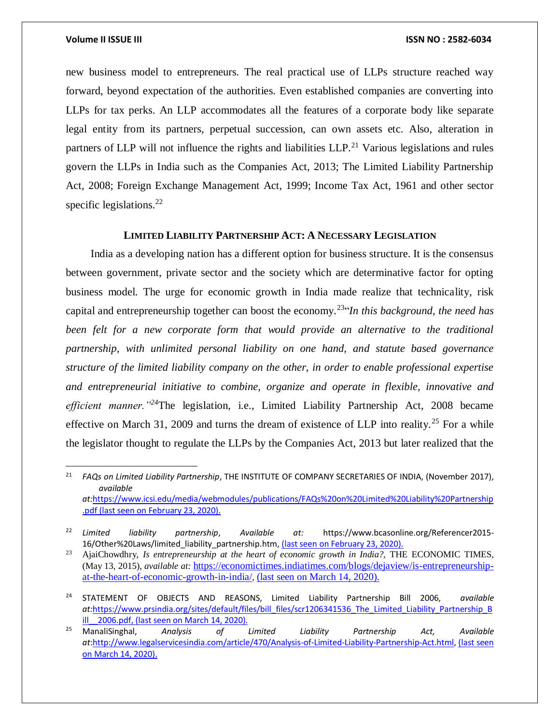$\overline{a}$ 

### **Volume II ISSUE III ISSN NO : 2582-6034**

new business model to entrepreneurs. The real practical use of LLPs structure reached way forward, beyond expectation of the authorities. Even established companies are converting into LLPs for tax perks. An LLP accommodates all the features of a corporate body like separate legal entity from its partners, perpetual succession, can own assets etc. Also, alteration in partners of LLP will not influence the rights and liabilities  $LLP<sup>21</sup>$  Various legislations and rules govern the LLPs in India such as the Companies Act, 2013; The Limited Liability Partnership Act, 2008; Foreign Exchange Management Act, 1999; Income Tax Act, 1961 and other sector specific legislations. $^{22}$ 

# **LIMITED LIABILITY PARTNERSHIP ACT: A NECESSARY LEGISLATION**

India as a developing nation has a different option for business structure. It is the consensus between government, private sector and the society which are determinative factor for opting business model. The urge for economic growth in India made realize that technicality, risk capital and entrepreneurship together can boost the economy.<sup>23"</sup>In this background, the need has *been felt for a new corporate form that would provide an alternative to the traditional partnership, with unlimited personal liability on one hand, and statute based governance structure of the limited liability company on the other, in order to enable professional expertise and entrepreneurial initiative to combine, organize and operate in flexible, innovative and efficient manner."<sup>24</sup>*The legislation, i.e., Limited Liability Partnership Act, 2008 became effective on March 31, 2009 and turns the dream of existence of LLP into reality.<sup>25</sup> For a while the legislator thought to regulate the LLPs by the Companies Act, 2013 but later realized that the

<sup>21</sup> *FAQs on Limited Liability Partnership*, THE INSTITUTE OF COMPANY SECRETARIES OF INDIA, (November 2017), *available at:*[https://www.icsi.edu/media/webmodules/publications/FAQs%20on%20Limited%20Liability%20Partnership](https://www.icsi.edu/media/webmodules/publications/FAQs%20on%20Limited%20Liability%20Partnership.pdf) [.pdf](https://www.icsi.edu/media/webmodules/publications/FAQs%20on%20Limited%20Liability%20Partnership.pdf) (last seen on February 23, 2020).

<sup>22</sup> *Limited liability partnership*, *Available at:* https://www.bcasonline.org/Referencer2015- 16/Other%20Laws/limited liability partnership.htm, (last seen on February 23, 2020).

<sup>23</sup> AjaiChowdhry, *Is entrepreneurship at the heart of economic growth in India?,* THE ECONOMIC TIMES, (May 13, 2015), *available at:* [https://economictimes.indiatimes.com/blogs/dejaview/is-entrepreneurship](https://economictimes.indiatimes.com/blogs/dejaview/is-entrepreneurship-at-the-heart-of-economic-growth-in-india/)[at-the-heart-of-economic-growth-in-india/](https://economictimes.indiatimes.com/blogs/dejaview/is-entrepreneurship-at-the-heart-of-economic-growth-in-india/), (last seen on March 14, 2020).

<sup>24</sup> STATEMENT OF OBJECTS AND REASONS, Limited Liability Partnership Bill 2006, *available at:*[https://www.prsindia.org/sites/default/files/bill\\_files/scr1206341536\\_The\\_Limited\\_Liability\\_Partnership\\_B](https://www.prsindia.org/sites/default/files/bill_files/scr1206341536_The_Limited_Liability_Partnership_Bill__2006.pdf) ill 2006.pdf, (last seen on March 14, 2020).

<sup>25</sup> ManaliSinghal, *Analysis of Limited Liability Partnership Act, Available at*[:http://www.legalservicesindia.com/article/470/Analysis-of-Limited-Liability-Partnership-Act.html,](http://www.legalservicesindia.com/article/470/Analysis-of-Limited-Liability-Partnership-Act.html) (last seen on March 14, 2020).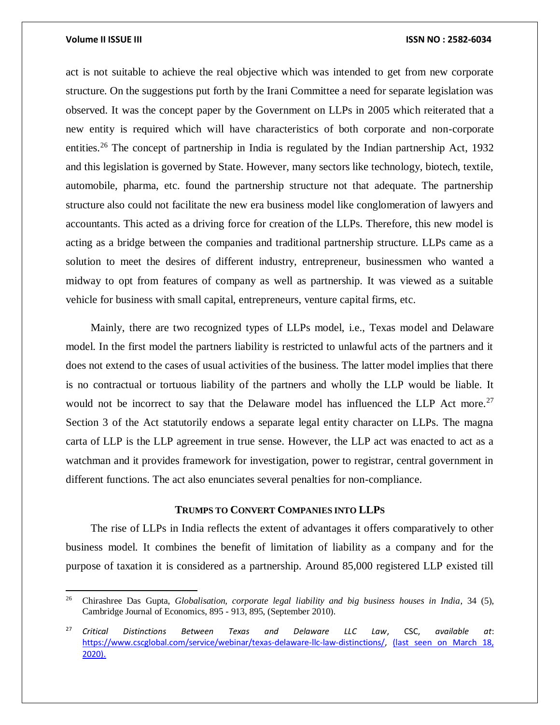$\overline{\phantom{a}}$ 

act is not suitable to achieve the real objective which was intended to get from new corporate structure. On the suggestions put forth by the Irani Committee a need for separate legislation was observed. It was the concept paper by the Government on LLPs in 2005 which reiterated that a new entity is required which will have characteristics of both corporate and non-corporate entities.<sup>26</sup> The concept of partnership in India is regulated by the Indian partnership Act, 1932 and this legislation is governed by State. However, many sectors like technology, biotech, textile, automobile, pharma, etc. found the partnership structure not that adequate. The partnership structure also could not facilitate the new era business model like conglomeration of lawyers and accountants. This acted as a driving force for creation of the LLPs. Therefore, this new model is acting as a bridge between the companies and traditional partnership structure. LLPs came as a solution to meet the desires of different industry, entrepreneur, businessmen who wanted a midway to opt from features of company as well as partnership. It was viewed as a suitable vehicle for business with small capital, entrepreneurs, venture capital firms, etc.

Mainly, there are two recognized types of LLPs model, i.e., Texas model and Delaware model. In the first model the partners liability is restricted to unlawful acts of the partners and it does not extend to the cases of usual activities of the business. The latter model implies that there is no contractual or tortuous liability of the partners and wholly the LLP would be liable. It would not be incorrect to say that the Delaware model has influenced the LLP Act more.<sup>27</sup> Section 3 of the Act statutorily endows a separate legal entity character on LLPs. The magna carta of LLP is the LLP agreement in true sense. However, the LLP act was enacted to act as a watchman and it provides framework for investigation, power to registrar, central government in different functions. The act also enunciates several penalties for non-compliance.

### **TRUMPS TO CONVERT COMPANIES INTO LLPS**

The rise of LLPs in India reflects the extent of advantages it offers comparatively to other business model. It combines the benefit of limitation of liability as a company and for the purpose of taxation it is considered as a partnership. Around 85,000 registered LLP existed till

<sup>26</sup> Chirashree Das Gupta, *Globalisation, corporate legal liability and big business houses in India*, 34 (5), Cambridge Journal of Economics, 895 - 913, 895, (September 2010).

<sup>27</sup> *Critical Distinctions Between Texas and Delaware LLC Law*, CSC, *available at*: [https://www.cscglobal.com/service/webinar/texas-delaware-llc-law-distinctions/,](https://www.cscglobal.com/service/webinar/texas-delaware-llc-law-distinctions/) (last seen on March 18, 2020).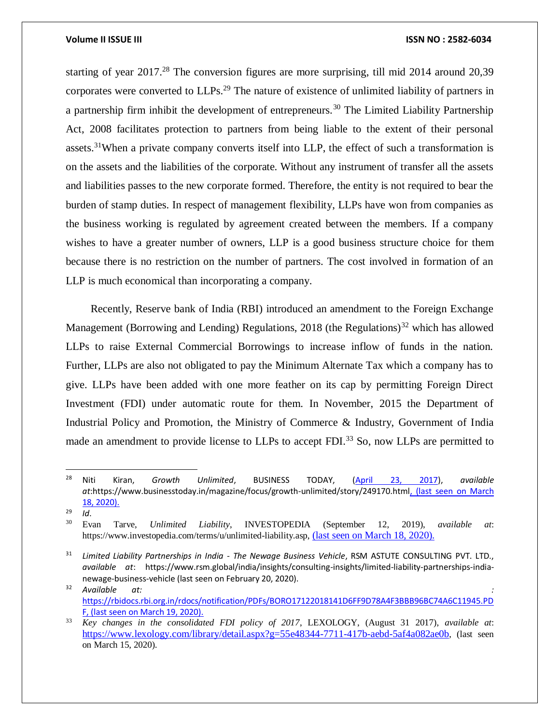starting of year 2017.<sup>28</sup> The conversion figures are more surprising, till mid 2014 around 20,39 corporates were converted to LLPs.<sup>29</sup> The nature of existence of unlimited liability of partners in a partnership firm inhibit the development of entrepreneurs.<sup>30</sup> The Limited Liability Partnership Act, 2008 facilitates protection to partners from being liable to the extent of their personal assets.<sup>31</sup>When a private company converts itself into LLP, the effect of such a transformation is on the assets and the liabilities of the corporate. Without any instrument of transfer all the assets and liabilities passes to the new corporate formed. Therefore, the entity is not required to bear the burden of stamp duties. In respect of management flexibility, LLPs have won from companies as the business working is regulated by agreement created between the members. If a company wishes to have a greater number of owners, LLP is a good business structure choice for them because there is no restriction on the number of partners. The cost involved in formation of an LLP is much economical than incorporating a company.

Recently, Reserve bank of India (RBI) introduced an amendment to the Foreign Exchange Management (Borrowing and Lending) Regulations, 2018 (the Regulations)<sup>32</sup> which has allowed LLPs to raise External Commercial Borrowings to increase inflow of funds in the nation. Further, LLPs are also not obligated to pay the Minimum Alternate Tax which a company has to give. LLPs have been added with one more feather on its cap by permitting Foreign Direct Investment (FDI) under automatic route for them. In November, 2015 the Department of Industrial Policy and Promotion, the Ministry of Commerce & Industry, Government of India made an amendment to provide license to LLPs to accept FDI.<sup>33</sup> So, now LLPs are permitted to

 $\frac{29}{30}$  *Id.* 

 $\overline{\phantom{a}}$ 

<sup>28</sup> Niti Kiran, *Growth Unlimited*, BUSINESS TODAY, [\(April 23, 2017\)](https://www.businesstoday.in/magazine/issue/april232017), *available at*:https://www.businesstoday.in/magazine/focus/growth-unlimited/story/249170.html, (last seen on March 18, 2020).

<sup>30</sup> Evan Tarve, *Unlimited Liability*, INVESTOPEDIA (September 12, 2019), *available at*: https://www.investopedia.com/terms/u/unlimited-liability.asp, (last seen on March 18, 2020).

<sup>31</sup> *Limited Liability Partnerships in India - The Newage Business Vehicle*, RSM ASTUTE CONSULTING PVT. LTD., *available at*: https://www.rsm.global/india/insights/consulting-insights/limited-liability-partnerships-indianewage-business-vehicle (last seen on February 20, 2020).

<sup>32</sup> *Available at: :*  [https://rbidocs.rbi.org.in/rdocs/notification/PDFs/BORO17122018141D6FF9D78A4F3BBB96BC74A6C11945.PD](https://rbidocs.rbi.org.in/rdocs/notification/PDFs/BORO17122018141D6FF9D78A4F3BBB96BC74A6C11945.PDF) [F,](https://rbidocs.rbi.org.in/rdocs/notification/PDFs/BORO17122018141D6FF9D78A4F3BBB96BC74A6C11945.PDF) (last seen on March 19, 2020).

<sup>33</sup> *Key changes in the consolidated FDI policy of 2017*, LEXOLOGY, (August 31 2017), *available at*: <https://www.lexology.com/library/detail.aspx?g=55e48344-7711-417b-aebd-5af4a082ae0b>, (last seen on March 15, 2020).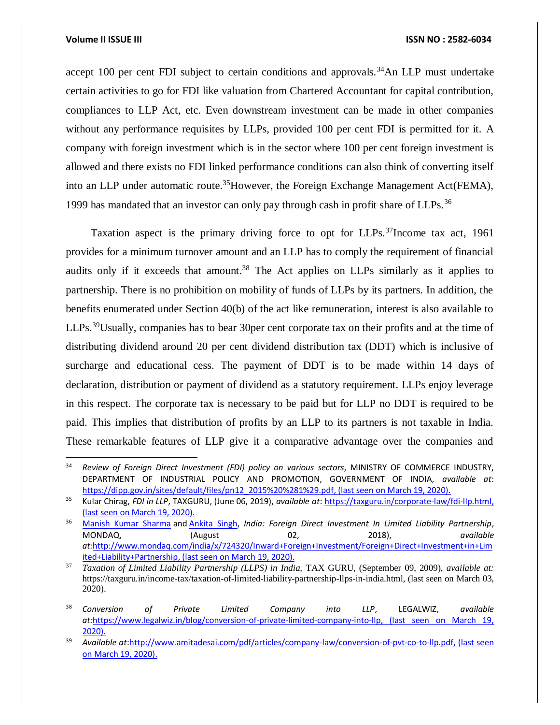$\overline{\phantom{a}}$ 

# **Volume II ISSUE III III ISSUE III ISSN NO** : **2582-6034**

accept 100 per cent FDI subject to certain conditions and approvals.<sup>34</sup>An LLP must undertake certain activities to go for FDI like valuation from Chartered Accountant for capital contribution, compliances to LLP Act, etc. Even downstream investment can be made in other companies without any performance requisites by LLPs, provided 100 per cent FDI is permitted for it. A company with foreign investment which is in the sector where 100 per cent foreign investment is allowed and there exists no FDI linked performance conditions can also think of converting itself into an LLP under automatic route.<sup>35</sup>However, the Foreign Exchange Management Act(FEMA), 1999 has mandated that an investor can only pay through cash in profit share of LLPs.<sup>36</sup>

Taxation aspect is the primary driving force to opt for LLPs.<sup>37</sup>Income tax act, 1961 provides for a minimum turnover amount and an LLP has to comply the requirement of financial audits only if it exceeds that amount.<sup>38</sup> The Act applies on LLPs similarly as it applies to partnership. There is no prohibition on mobility of funds of LLPs by its partners. In addition, the benefits enumerated under Section 40(b) of the act like remuneration, interest is also available to LLPs.<sup>39</sup>Usually, companies has to bear 30 per cent corporate tax on their profits and at the time of distributing dividend around 20 per cent dividend distribution tax (DDT) which is inclusive of surcharge and educational cess. The payment of DDT is to be made within 14 days of declaration, distribution or payment of dividend as a statutory requirement. LLPs enjoy leverage in this respect. The corporate tax is necessary to be paid but for LLP no DDT is required to be paid. This implies that distribution of profits by an LLP to its partners is not taxable in India. These remarkable features of LLP give it a comparative advantage over the companies and

<sup>&</sup>lt;sup>34</sup> Review of Foreign Direct Investment (FDI) policy on various sectors, MINISTRY OF COMMERCE INDUSTRY, DEPARTMENT OF INDUSTRIAL POLICY AND PROMOTION, GOVERNMENT OF INDIA, *available at*: [https://dipp.gov.in/sites/default/files/pn12\\_2015%20%281%29.pdf,](https://dipp.gov.in/sites/default/files/pn12_2015%20%281%29.pdf) (last seen on March 19, 2020).

<sup>35</sup> Kular Chirag, *FDI in LLP*, TAXGURU, (June 06, 2019), *available at*[: https://taxguru.in/corporate-law/fdi-llp.html,](https://taxguru.in/corporate-law/fdi-llp.html) (last seen on March 19, 2020).

<sup>36</sup> [Manish Kumar Sharma](https://www.mondaq.com/Home/Redirect/1444322?mode=author&article_id=724320) and [Ankita Singh,](https://www.mondaq.com/Home/Redirect/1737852?mode=author&article_id=724320) *India: Foreign Direct Investment In Limited Liability Partnership*, MONDAQ, (August 02, 2018), *available at:*[http://www.mondaq.com/india/x/724320/Inward+Foreign+Investment/Foreign+Direct+Investment+in+Lim](http://www.mondaq.com/india/x/724320/Inward+Foreign+Investment/Foreign+Direct+Investment+in+Limited+Liability+Partnership) [ited+Liability+Partnership,](http://www.mondaq.com/india/x/724320/Inward+Foreign+Investment/Foreign+Direct+Investment+in+Limited+Liability+Partnership) (last seen on March 19, 2020).

<sup>37</sup> *Taxation of Limited Liability Partnership (LLPS) in India,* TAX GURU, (September 09, 2009), *available at:*  [https://taxguru.in/income-tax/taxation-of-limited-liability-partnership-llps-in-india.html,](https://taxguru.in/income-tax/taxation-of-limited-liability-partnership-llps-in-india.html) (last seen on March 03, 2020).

<sup>38</sup> *Conversion of Private Limited Company into LLP*, LEGALWIZ, *available at:*[https://www.legalwiz.in/blog/conversion-of-private-limited-company-into-llp,](https://www.legalwiz.in/blog/conversion-of-private-limited-company-into-llp) (last seen on March 19, 2020).

<sup>39</sup> *Available at*[:http://www.amitadesai.com/pdf/articles/company-law/conversion-of-pvt-co-to-llp.pdf,](http://www.amitadesai.com/pdf/articles/company-law/conversion-of-pvt-co-to-llp.pdf) (last seen on March 19, 2020).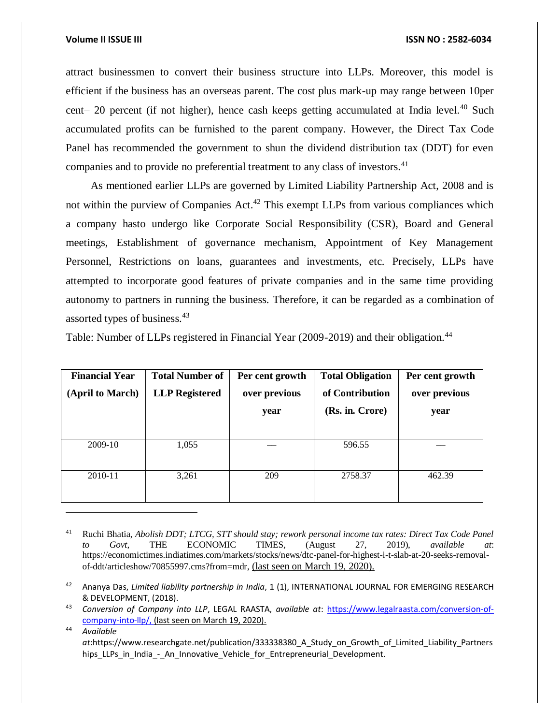attract businessmen to convert their business structure into LLPs. Moreover, this model is efficient if the business has an overseas parent. The cost plus mark-up may range between 10per cent– 20 percent (if not higher), hence cash keeps getting accumulated at India level.<sup>40</sup> Such accumulated profits can be furnished to the parent company. However, the Direct Tax Code Panel has recommended the government to shun the dividend distribution tax (DDT) for even companies and to provide no preferential treatment to any class of investors.<sup>41</sup>

As mentioned earlier LLPs are governed by Limited Liability Partnership Act, 2008 and is not within the purview of Companies  $Act<sup>42</sup>$ . This exempt LLPs from various compliances which a company hasto undergo like Corporate Social Responsibility (CSR), Board and General meetings, Establishment of governance mechanism, Appointment of Key Management Personnel, Restrictions on loans, guarantees and investments, etc. Precisely, LLPs have attempted to incorporate good features of private companies and in the same time providing autonomy to partners in running the business. Therefore, it can be regarded as a combination of assorted types of business.<sup>43</sup>

Table: Number of LLPs registered in Financial Year (2009-2019) and their obligation.<sup>44</sup>

| <b>Financial Year</b><br>(April to March) | <b>Total Number of</b><br><b>LLP</b> Registered | Per cent growth<br>over previous<br>year | <b>Total Obligation</b><br>of Contribution<br>(Rs. in. Crore) | Per cent growth<br>over previous<br>year |
|-------------------------------------------|-------------------------------------------------|------------------------------------------|---------------------------------------------------------------|------------------------------------------|
| 2009-10                                   | 1,055                                           |                                          | 596.55                                                        |                                          |
| 2010-11                                   | 3,261                                           | 209                                      | 2758.37                                                       | 462.39                                   |

<sup>41</sup> Ruchi Bhatia, *Abolish DDT; LTCG, STT should stay; rework personal income tax rates: Direct Tax Code Panel to Govt*, THE ECONOMIC TIMES, (August 27, 2019), *available at*: https://economictimes.indiatimes.com/markets/stocks/news/dtc-panel-for-highest-i-t-slab-at-20-seeks-removalof-ddt/articleshow/70855997.cms?from=mdr, (last seen on March 19, 2020).

<sup>44</sup> *Available* 

 $\overline{a}$ 

*at*:https://www.researchgate.net/publication/333338380\_A\_Study\_on\_Growth\_of\_Limited\_Liability\_Partners hips\_LLPs\_in\_India\_-\_An\_Innovative\_Vehicle\_for\_Entrepreneurial\_Development.

<sup>42</sup> Ananya Das, *Limited liability partnership in India*, 1 (1), INTERNATIONAL JOURNAL FOR EMERGING RESEARCH & DEVELOPMENT, (2018).

<sup>43</sup> *Conversion of Company into LLP*, LEGAL RAASTA, *available at*: [https://www.legalraasta.com/conversion-of](https://www.legalraasta.com/conversion-of-company-into-llp/)[company-into-llp/,](https://www.legalraasta.com/conversion-of-company-into-llp/) (last seen on March 19, 2020).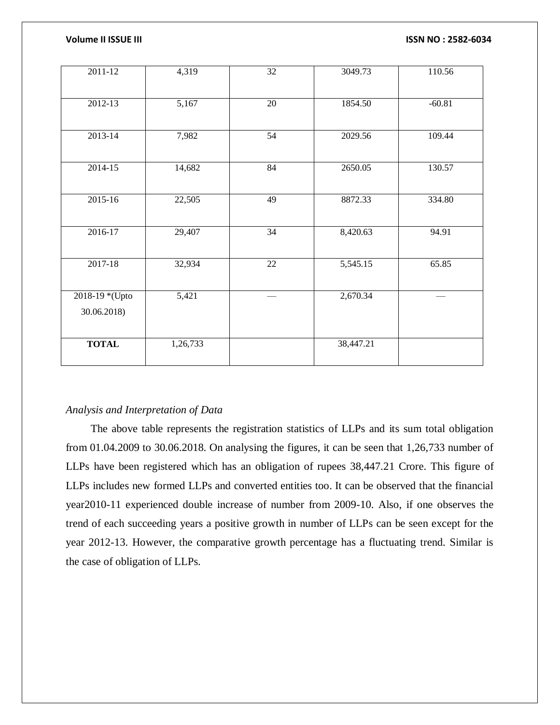| 2011-12        | 4,319    | 32              | 3049.73   | 110.56   |
|----------------|----------|-----------------|-----------|----------|
| $2012 - 13$    | 5,167    | $\overline{20}$ | 1854.50   | $-60.81$ |
| $2013 - 14$    | 7,982    | 54              | 2029.56   | 109.44   |
| 2014-15        | 14,682   | 84              | 2650.05   | 130.57   |
| $2015 - 16$    | 22,505   | 49              | 8872.33   | 334.80   |
| 2016-17        | 29,407   | 34              | 8,420.63  | 94.91    |
| $2017 - 18$    | 32,934   | 22              | 5,545.15  | 65.85    |
| 2018-19 *(Upto | 5,421    |                 | 2,670.34  |          |
| 30.06.2018)    |          |                 |           |          |
| <b>TOTAL</b>   | 1,26,733 |                 | 38,447.21 |          |

# *Analysis and Interpretation of Data*

The above table represents the registration statistics of LLPs and its sum total obligation from 01.04.2009 to 30.06.2018. On analysing the figures, it can be seen that 1,26,733 number of LLPs have been registered which has an obligation of rupees 38,447.21 Crore. This figure of LLPs includes new formed LLPs and converted entities too. It can be observed that the financial year2010-11 experienced double increase of number from 2009-10. Also, if one observes the trend of each succeeding years a positive growth in number of LLPs can be seen except for the year 2012-13. However, the comparative growth percentage has a fluctuating trend. Similar is the case of obligation of LLPs.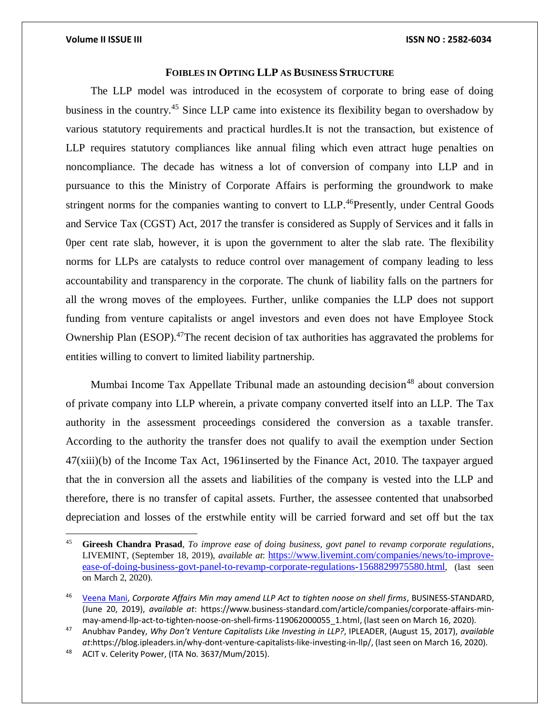# **FOIBLES IN OPTING LLP AS BUSINESS STRUCTURE**

The LLP model was introduced in the ecosystem of corporate to bring ease of doing business in the country.<sup>45</sup> Since LLP came into existence its flexibility began to overshadow by various statutory requirements and practical hurdles.It is not the transaction, but existence of LLP requires statutory compliances like annual filing which even attract huge penalties on noncompliance. The decade has witness a lot of conversion of company into LLP and in pursuance to this the Ministry of Corporate Affairs is performing the groundwork to make stringent norms for the companies wanting to convert to LLP.<sup>46</sup>Presently, under Central Goods and Service Tax (CGST) Act, 2017 the transfer is considered as Supply of Services and it falls in 0per cent rate slab, however, it is upon the government to alter the slab rate. The flexibility norms for LLPs are catalysts to reduce control over management of company leading to less accountability and transparency in the corporate. The chunk of liability falls on the partners for all the wrong moves of the employees. Further, unlike companies the LLP does not support funding from venture capitalists or angel investors and even does not have Employee Stock Ownership Plan (ESOP).<sup>47</sup>The recent decision of tax authorities has aggravated the problems for entities willing to convert to limited liability partnership.

Mumbai Income Tax Appellate Tribunal made an astounding decision<sup>48</sup> about conversion of private company into LLP wherein, a private company converted itself into an LLP. The Tax authority in the assessment proceedings considered the conversion as a taxable transfer. According to the authority the transfer does not qualify to avail the exemption under Section 47(xiii)(b) of the Income Tax Act, 1961inserted by the Finance Act, 2010. The taxpayer argued that the in conversion all the assets and liabilities of the company is vested into the LLP and therefore, there is no transfer of capital assets. Further, the assessee contented that unabsorbed depreciation and losses of the erstwhile entity will be carried forward and set off but the tax

 $45$ <sup>45</sup> **[Gireesh Chandra Prasad](https://www.livemint.com/Search/Link/Author/Gireesh%20Chandra%20Prasad)**, *To improve ease of doing business, govt panel to revamp corporate regulations*, LIVEMINT, (September 18, 2019), *available at*: [https://www.livemint.com/companies/news/to-improve](https://www.livemint.com/companies/news/to-improve-ease-of-doing-business-govt-panel-to-revamp-corporate-regulations-1568829975580.html)[ease-of-doing-business-govt-panel-to-revamp-corporate-regulations-1568829975580.html](https://www.livemint.com/companies/news/to-improve-ease-of-doing-business-govt-panel-to-revamp-corporate-regulations-1568829975580.html), (last seen on March 2, 2020).

<sup>46</sup> [Veena Mani,](https://www.business-standard.com/author/search/keyword/veena-mani) *Corporate Affairs Min may amend LLP Act to tighten noose on shell firms*, BUSINESS-STANDARD, (June 20, 2019), *available at*: [https://www.business-standard.com/article/companies/corporate-affairs-min](https://www.business-standard.com/article/companies/corporate-affairs-min-may-amend-llp-act-to-tighten-noose-on-shell-firms-119062000055_1.html)[may-amend-llp-act-to-tighten-noose-on-shell-firms-119062000055\\_1.html,](https://www.business-standard.com/article/companies/corporate-affairs-min-may-amend-llp-act-to-tighten-noose-on-shell-firms-119062000055_1.html) (last seen on March 16, 2020).

<sup>47</sup> Anubhav Pandey, *Why Don't Venture Capitalists Like Investing in LLP?*, IPLEADER, (August 15, 2017), *available at*:https://blog.ipleaders.in/why-dont-venture-capitalists-like-investing-in-llp/, (last seen on March 16, 2020).

<sup>48</sup> ACIT v. Celerity Power, (ITA No. 3637/Mum/2015).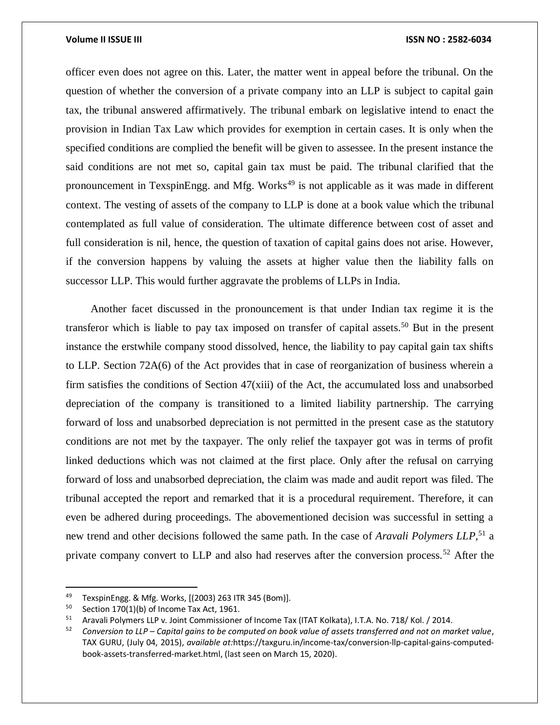officer even does not agree on this. Later, the matter went in appeal before the tribunal. On the question of whether the conversion of a private company into an LLP is subject to capital gain tax, the tribunal answered affirmatively. The tribunal embark on legislative intend to enact the provision in Indian Tax Law which provides for exemption in certain cases. It is only when the specified conditions are complied the benefit will be given to assessee. In the present instance the said conditions are not met so, capital gain tax must be paid. The tribunal clarified that the pronouncement in TexspinEngg. and Mfg. Works<sup>49</sup> is not applicable as it was made in different context. The vesting of assets of the company to LLP is done at a book value which the tribunal contemplated as full value of consideration. The ultimate difference between cost of asset and full consideration is nil, hence, the question of taxation of capital gains does not arise. However, if the conversion happens by valuing the assets at higher value then the liability falls on successor LLP. This would further aggravate the problems of LLPs in India.

Another facet discussed in the pronouncement is that under Indian tax regime it is the transferor which is liable to pay tax imposed on transfer of capital assets.<sup>50</sup> But in the present instance the erstwhile company stood dissolved, hence, the liability to pay capital gain tax shifts to LLP. Section 72A(6) of the Act provides that in case of reorganization of business wherein a firm satisfies the conditions of Section 47(xiii) of the Act, the accumulated loss and unabsorbed depreciation of the company is transitioned to a limited liability partnership. The carrying forward of loss and unabsorbed depreciation is not permitted in the present case as the statutory conditions are not met by the taxpayer. The only relief the taxpayer got was in terms of profit linked deductions which was not claimed at the first place. Only after the refusal on carrying forward of loss and unabsorbed depreciation, the claim was made and audit report was filed. The tribunal accepted the report and remarked that it is a procedural requirement. Therefore, it can even be adhered during proceedings. The abovementioned decision was successful in setting a new trend and other decisions followed the same path. In the case of *Aravali Polymers LLP*, <sup>51</sup> a private company convert to LLP and also had reserves after the conversion process.<sup>52</sup> After the

 $\overline{\phantom{a}}$ 

<sup>49</sup> TexspinEngg. & Mfg. Works, [(2003) 263 ITR 345 (Bom)].

<sup>&</sup>lt;sup>50</sup> Section 170(1)(b) of Income Tax Act, 1961.<br><sup>51</sup> Aravali Polymers LLP v. Joint Commissioner

<sup>&</sup>lt;sup>51</sup> Aravali Polymers LLP v. Joint Commissioner of Income Tax (ITAT Kolkata), I.T.A. No. 718/Kol. / 2014.

<sup>52</sup> *Conversion to LLP – Capital gains to be computed on book value of assets transferred and not on market value*, TAX GURU, (July 04, 2015), *available at:*https://taxguru.in/income-tax/conversion-llp-capital-gains-computedbook-assets-transferred-market.html, (last seen on March 15, 2020).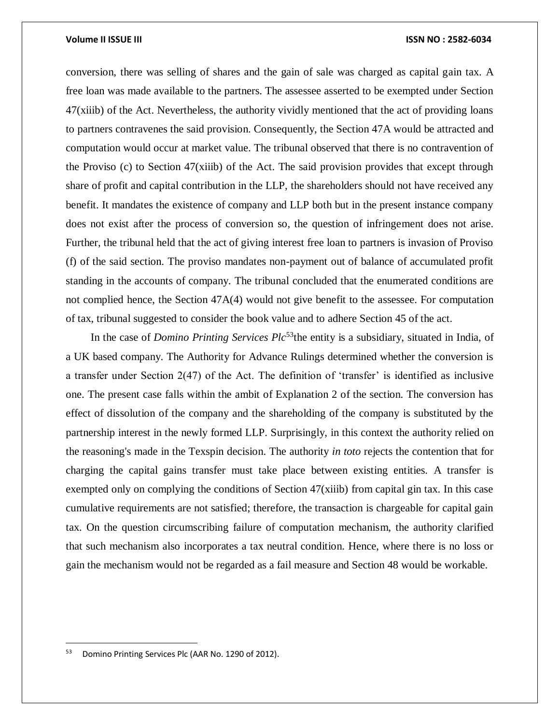conversion, there was selling of shares and the gain of sale was charged as capital gain tax. A free loan was made available to the partners. The assessee asserted to be exempted under Section 47(xiiib) of the Act. Nevertheless, the authority vividly mentioned that the act of providing loans to partners contravenes the said provision. Consequently, the Section 47A would be attracted and computation would occur at market value. The tribunal observed that there is no contravention of the Proviso (c) to Section 47(xiiib) of the Act. The said provision provides that except through share of profit and capital contribution in the LLP, the shareholders should not have received any benefit. It mandates the existence of company and LLP both but in the present instance company does not exist after the process of conversion so, the question of infringement does not arise. Further, the tribunal held that the act of giving interest free loan to partners is invasion of Proviso (f) of the said section. The proviso mandates non-payment out of balance of accumulated profit standing in the accounts of company. The tribunal concluded that the enumerated conditions are not complied hence, the Section 47A(4) would not give benefit to the assessee. For computation of tax, tribunal suggested to consider the book value and to adhere Section 45 of the act.

In the case of *Domino Printing Services Plc*<sup>53</sup>the entity is a subsidiary, situated in India, of a UK based company. The Authority for Advance Rulings determined whether the conversion is a transfer under Section 2(47) of the Act. The definition of 'transfer' is identified as inclusive one. The present case falls within the ambit of Explanation 2 of the section. The conversion has effect of dissolution of the company and the shareholding of the company is substituted by the partnership interest in the newly formed LLP. Surprisingly, in this context the authority relied on the reasoning's made in the Texspin decision. The authority *in toto* rejects the contention that for charging the capital gains transfer must take place between existing entities. A transfer is exempted only on complying the conditions of Section 47(xiiib) from capital gin tax. In this case cumulative requirements are not satisfied; therefore, the transaction is chargeable for capital gain tax. On the question circumscribing failure of computation mechanism, the authority clarified that such mechanism also incorporates a tax neutral condition. Hence, where there is no loss or gain the mechanism would not be regarded as a fail measure and Section 48 would be workable.

 $\overline{a}$ 

<sup>53</sup> Domino Printing Services Plc (AAR No. 1290 of 2012).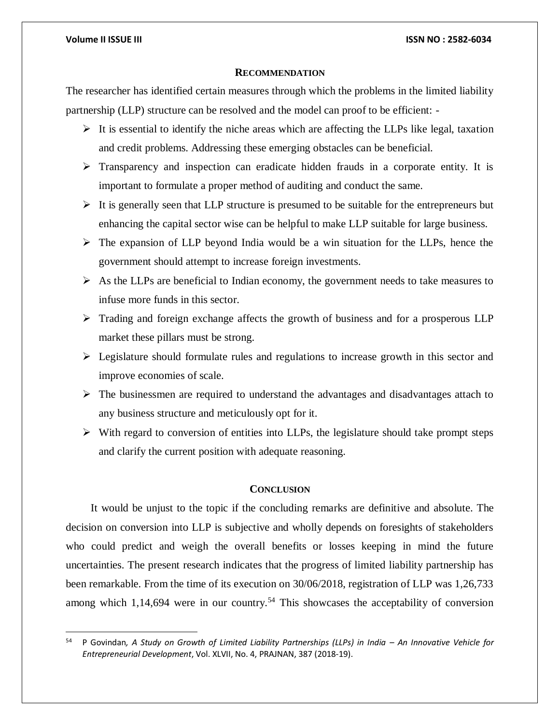$\overline{\phantom{a}}$ 

### **RECOMMENDATION**

The researcher has identified certain measures through which the problems in the limited liability partnership (LLP) structure can be resolved and the model can proof to be efficient: -

- $\triangleright$  It is essential to identify the niche areas which are affecting the LLPs like legal, taxation and credit problems. Addressing these emerging obstacles can be beneficial.
- $\triangleright$  Transparency and inspection can eradicate hidden frauds in a corporate entity. It is important to formulate a proper method of auditing and conduct the same.
- $\triangleright$  It is generally seen that LLP structure is presumed to be suitable for the entrepreneurs but enhancing the capital sector wise can be helpful to make LLP suitable for large business.
- $\triangleright$  The expansion of LLP beyond India would be a win situation for the LLPs, hence the government should attempt to increase foreign investments.
- $\triangleright$  As the LLPs are beneficial to Indian economy, the government needs to take measures to infuse more funds in this sector.
- $\triangleright$  Trading and foreign exchange affects the growth of business and for a prosperous LLP market these pillars must be strong.
- $\triangleright$  Legislature should formulate rules and regulations to increase growth in this sector and improve economies of scale.
- $\triangleright$  The businessmen are required to understand the advantages and disadvantages attach to any business structure and meticulously opt for it.
- $\triangleright$  With regard to conversion of entities into LLPs, the legislature should take prompt steps and clarify the current position with adequate reasoning.

# **CONCLUSION**

It would be unjust to the topic if the concluding remarks are definitive and absolute. The decision on conversion into LLP is subjective and wholly depends on foresights of stakeholders who could predict and weigh the overall benefits or losses keeping in mind the future uncertainties. The present research indicates that the progress of limited liability partnership has been remarkable. From the time of its execution on 30/06/2018, registration of LLP was 1,26,733 among which 1,14,694 were in our country.<sup>54</sup> This showcases the acceptability of conversion

<sup>54</sup> P Govindan*, A Study on Growth of Limited Liability Partnerships (LLPs) in India – An Innovative Vehicle for Entrepreneurial Development*, Vol. XLVII, No. 4, PRAJNAN, 387 (2018-19).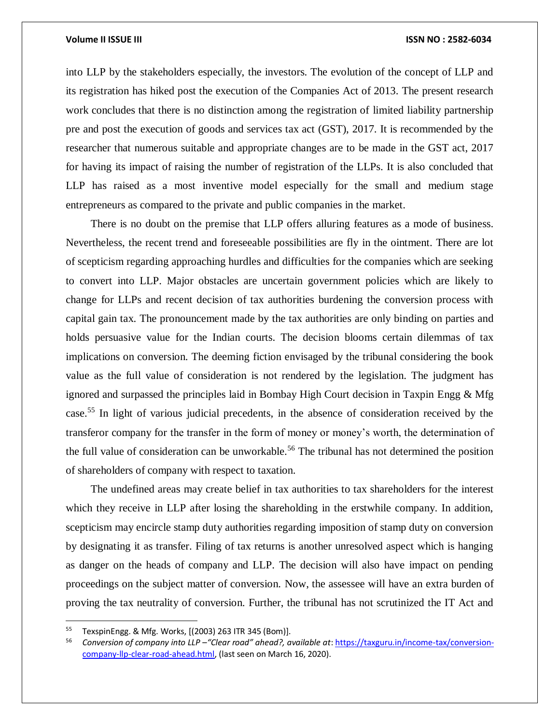into LLP by the stakeholders especially, the investors. The evolution of the concept of LLP and its registration has hiked post the execution of the Companies Act of 2013. The present research work concludes that there is no distinction among the registration of limited liability partnership pre and post the execution of goods and services tax act (GST), 2017. It is recommended by the researcher that numerous suitable and appropriate changes are to be made in the GST act, 2017 for having its impact of raising the number of registration of the LLPs. It is also concluded that LLP has raised as a most inventive model especially for the small and medium stage entrepreneurs as compared to the private and public companies in the market.

There is no doubt on the premise that LLP offers alluring features as a mode of business. Nevertheless, the recent trend and foreseeable possibilities are fly in the ointment. There are lot of scepticism regarding approaching hurdles and difficulties for the companies which are seeking to convert into LLP. Major obstacles are uncertain government policies which are likely to change for LLPs and recent decision of tax authorities burdening the conversion process with capital gain tax. The pronouncement made by the tax authorities are only binding on parties and holds persuasive value for the Indian courts. The decision blooms certain dilemmas of tax implications on conversion. The deeming fiction envisaged by the tribunal considering the book value as the full value of consideration is not rendered by the legislation. The judgment has ignored and surpassed the principles laid in Bombay High Court decision in Taxpin Engg & Mfg case.<sup>55</sup> In light of various judicial precedents, in the absence of consideration received by the transferor company for the transfer in the form of money or money's worth, the determination of the full value of consideration can be unworkable.<sup>56</sup> The tribunal has not determined the position of shareholders of company with respect to taxation.

The undefined areas may create belief in tax authorities to tax shareholders for the interest which they receive in LLP after losing the shareholding in the erstwhile company. In addition, scepticism may encircle stamp duty authorities regarding imposition of stamp duty on conversion by designating it as transfer. Filing of tax returns is another unresolved aspect which is hanging as danger on the heads of company and LLP. The decision will also have impact on pending proceedings on the subject matter of conversion. Now, the assessee will have an extra burden of proving the tax neutrality of conversion. Further, the tribunal has not scrutinized the IT Act and

 $\overline{a}$ 

<sup>55</sup> TexspinEngg. & Mfg. Works, [(2003) 263 ITR 345 (Bom)].

<sup>56</sup> *Conversion of company into LLP –"Clear road" ahead?, available at*[: https://taxguru.in/income-tax/conversion](https://taxguru.in/income-tax/conversion-company-llp-clear-road-ahead.html)[company-llp-clear-road-ahead.html,](https://taxguru.in/income-tax/conversion-company-llp-clear-road-ahead.html) (last seen on March 16, 2020).